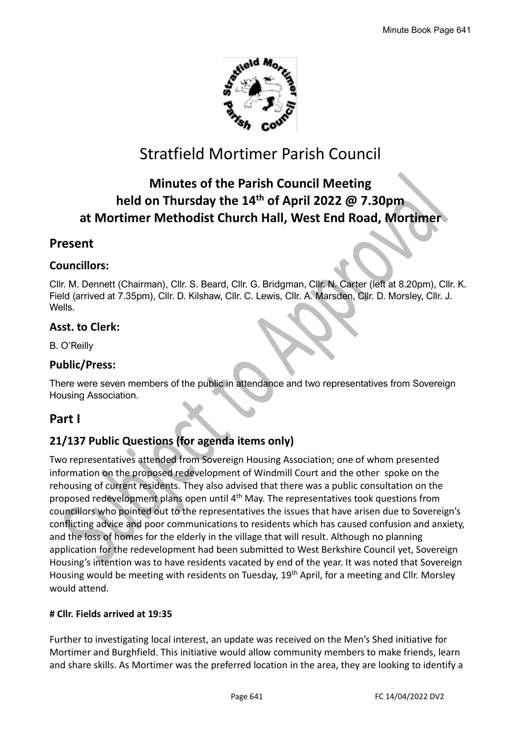

# Stratfield Mortimer Parish Council

# **Minutes of the Parish Council Meeting held on Thursday the 14th of April 2022 @ 7.30pm at Mortimer Methodist Church Hall, West End Road, Mortimer**

# **Present**

### **Councillors:**

Cllr. M. Dennett (Chairman), Cllr. S. Beard, Cllr. G. Bridgman, Cllr. N. Carter (left at 8.20pm), Cllr. K. Field (arrived at 7.35pm), Cllr. D. Kilshaw, Cllr. C. Lewis, Cllr. A. Marsden, Cllr. D. Morsley, Cllr. J. Wells.

## **Asst. to Clerk:**

B. O'Reilly

### **Public/Press:**

There were seven members of the public in attendance and two representatives from Sovereign Housing Association.

## **Part I**

# **21/137 Public Questions (for agenda items only)**

Two representatives attended from Sovereign Housing Association; one of whom presented information on the proposed redevelopment of Windmill Court and the other spoke on the rehousing of current residents. They also advised that there was a public consultation on the proposed redevelopment plans open until 4th May. The representatives took questions from councillors who pointed out to the representatives the issues that have arisen due to Sovereign's conflicting advice and poor communications to residents which has caused confusion and anxiety, and the loss of homes for the elderly in the village that will result. Although no planning application for the redevelopment had been submitted to West Berkshire Council yet, Sovereign Housing's intention was to have residents vacated by end of the year. It was noted that Sovereign Housing would be meeting with residents on Tuesday, 19<sup>th</sup> April, for a meeting and Cllr. Morsley would attend.

#### **# Cllr. Fields arrived at 19:35**

Further to investigating local interest, an update was received on the Men's Shed initiative for Mortimer and Burghfield. This initiative would allow community members to make friends, learn and share skills. As Mortimer was the preferred location in the area, they are looking to identify a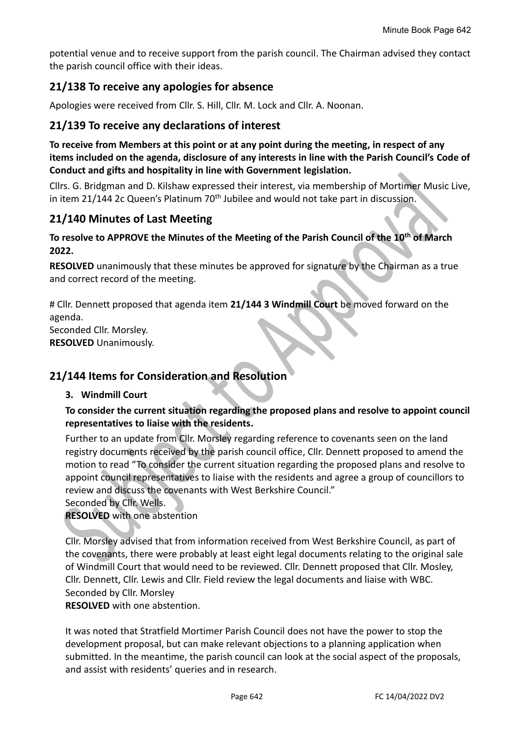potential venue and to receive support from the parish council. The Chairman advised they contact the parish council office with their ideas.

# **21/138 To receive any apologies for absence**

Apologies were received from Cllr. S. Hill, Cllr. M. Lock and Cllr. A. Noonan.

# **21/139 To receive any declarations of interest**

**To receive from Members at this point or at any point during the meeting, in respect of any items included on the agenda, disclosure of any interests in line with the Parish Council's Code of Conduct and gifts and hospitality in line with Government legislation.**

Cllrs. G. Bridgman and D. Kilshaw expressed their interest, via membership of Mortimer Music Live, in item 21/144 2c Queen's Platinum  $70<sup>th</sup>$  Jubilee and would not take part in discussion.

# **21/140 Minutes of Last Meeting**

### **To resolve to APPROVE the Minutes of the Meeting of the Parish Council of the 10th of March 2022.**

**RESOLVED** unanimously that these minutes be approved for signature by the Chairman as a true and correct record of the meeting.

# Cllr. Dennett proposed that agenda item **21/144 3 Windmill Court** be moved forward on the agenda. Seconded Cllr. Morsley.

**RESOLVED** Unanimously.

# **21/144 Items for Consideration and Resolution**

#### **3. Windmill Court**

#### **To consider the current situation regarding the proposed plans and resolve to appoint council representatives to liaise with the residents.**

Further to an update from Cllr. Morsley regarding reference to covenants seen on the land registry documents received by the parish council office, Cllr. Dennett proposed to amend the motion to read "To consider the current situation regarding the proposed plans and resolve to appoint council representatives to liaise with the residents and agree a group of councillors to review and discuss the covenants with West Berkshire Council."

Seconded by Cllr. Wells.

**RESOLVED** with one abstention

Cllr. Morsley advised that from information received from West Berkshire Council, as part of the covenants, there were probably at least eight legal documents relating to the original sale of Windmill Court that would need to be reviewed. Cllr. Dennett proposed that Cllr. Mosley, Cllr. Dennett, Cllr. Lewis and Cllr. Field review the legal documents and liaise with WBC. Seconded by Cllr. Morsley

**RESOLVED** with one abstention.

It was noted that Stratfield Mortimer Parish Council does not have the power to stop the development proposal, but can make relevant objections to a planning application when submitted. In the meantime, the parish council can look at the social aspect of the proposals, and assist with residents' queries and in research.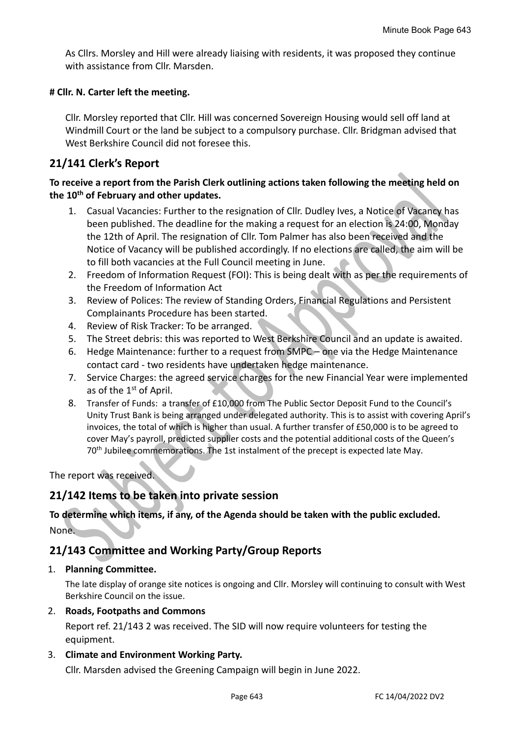As Cllrs. Morsley and Hill were already liaising with residents, it was proposed they continue with assistance from Cllr. Marsden.

#### **# Cllr. N. Carter left the meeting.**

Cllr. Morsley reported that Cllr. Hill was concerned Sovereign Housing would sell off land at Windmill Court or the land be subject to a compulsory purchase. Cllr. Bridgman advised that West Berkshire Council did not foresee this.

# **21/141 Clerk's Report**

### **To receive a report from the Parish Clerk outlining actions taken following the meeting held on the 10th of February and other updates.**

- 1. Casual Vacancies: Further to the resignation of Cllr. Dudley Ives, a Notice of Vacancy has been published. The deadline for the making a request for an election is 24:00, Monday the 12th of April. The resignation of Cllr. Tom Palmer has also been received and the Notice of Vacancy will be published accordingly. If no elections are called, the aim will be to fill both vacancies at the Full Council meeting in June.
- 2. Freedom of Information Request (FOI): This is being dealt with as per the requirements of the Freedom of Information Act
- 3. Review of Polices: The review of Standing Orders, Financial Regulations and Persistent Complainants Procedure has been started.
- 4. Review of Risk Tracker: To be arranged.
- 5. The Street debris: this was reported to West Berkshire Council and an update is awaited.
- 6. Hedge Maintenance: further to a request from SMPC one via the Hedge Maintenance contact card - two residents have undertaken hedge maintenance.
- 7. Service Charges: the agreed service charges for the new Financial Year were implemented as of the 1st of April.
- 8. Transfer of Funds: a transfer of £10,000 from The Public Sector Deposit Fund to the Council's Unity Trust Bank is being arranged under delegated authority. This is to assist with covering April's invoices, the total of which is higher than usual. A further transfer of £50,000 is to be agreed to cover May's payroll, predicted supplier costs and the potential additional costs of the Queen's 70th Jubilee commemorations. The 1st instalment of the precept is expected late May.

The report was received.

# **21/142 Items to be taken into private session**

### **To determine which items, if any, of the Agenda should be taken with the public excluded.** None.

## **21/143 Committee and Working Party/Group Reports**

#### 1. **Planning Committee.**

The late display of orange site notices is ongoing and Cllr. Morsley will continuing to consult with West Berkshire Council on the issue.

#### 2. **Roads, Footpaths and Commons**

Report ref. 21/143 2 was received. The SID will now require volunteers for testing the equipment.

#### 3. **Climate and Environment Working Party.**

Cllr. Marsden advised the Greening Campaign will begin in June 2022.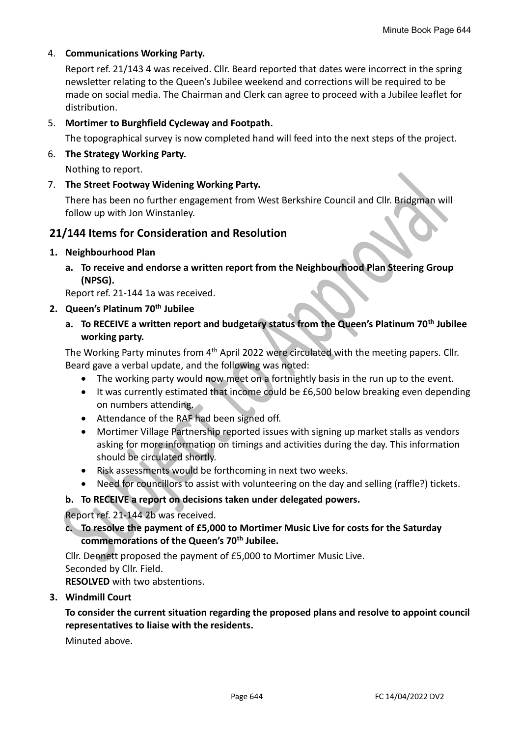#### 4. **Communications Working Party.**

Report ref. 21/143 4 was received. Cllr. Beard reported that dates were incorrect in the spring newsletter relating to the Queen's Jubilee weekend and corrections will be required to be made on social media. The Chairman and Clerk can agree to proceed with a Jubilee leaflet for distribution.

#### 5. **Mortimer to Burghfield Cycleway and Footpath.**

The topographical survey is now completed hand will feed into the next steps of the project.

#### 6. **The Strategy Working Party.**

Nothing to report.

7. **The Street Footway Widening Working Party.**

There has been no further engagement from West Berkshire Council and Cllr. Bridgman will follow up with Jon Winstanley.

### **21/144 Items for Consideration and Resolution**

#### **1. Neighbourhood Plan**

**a. To receive and endorse a written report from the Neighbourhood Plan Steering Group (NPSG).**

Report ref. 21-144 1a was received.

#### **2. Queen's Platinum 70th Jubilee**

**a. To RECEIVE a written report and budgetary status from the Queen's Platinum 70th Jubilee working party.**

The Working Party minutes from 4<sup>th</sup> April 2022 were circulated with the meeting papers. Cllr. Beard gave a verbal update, and the following was noted:

- The working party would now meet on a fortnightly basis in the run up to the event.
- It was currently estimated that income could be £6,500 below breaking even depending on numbers attending.
- Attendance of the RAF had been signed off.
- Mortimer Village Partnership reported issues with signing up market stalls as vendors asking for more information on timings and activities during the day. This information should be circulated shortly.
- Risk assessments would be forthcoming in next two weeks.
- Need for councillors to assist with volunteering on the day and selling (raffle?) tickets.

#### **b. To RECEIVE a report on decisions taken under delegated powers.**

Report ref. 21-144 2b was received.

### **c. To resolve the payment of £5,000 to Mortimer Music Live for costs for the Saturday commemorations of the Queen's 70th Jubilee.**

Cllr. Dennett proposed the payment of £5,000 to Mortimer Music Live. Seconded by Cllr. Field.

**RESOLVED** with two abstentions.

#### **3. Windmill Court**

### **To consider the current situation regarding the proposed plans and resolve to appoint council representatives to liaise with the residents.**

Minuted above.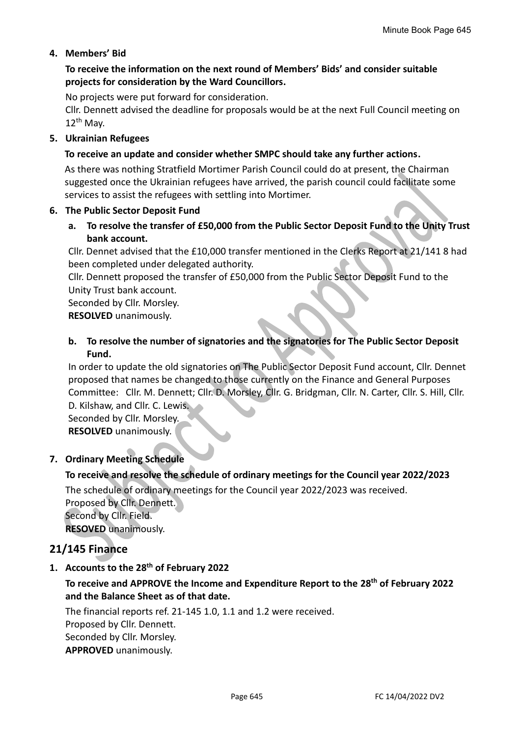### **4. Members' Bid**

### **To receive the information on the next round of Members' Bids' and consider suitable projects for consideration by the Ward Councillors.**

No projects were put forward for consideration.

Cllr. Dennett advised the deadline for proposals would be at the next Full Council meeting on  $12^{th}$  May.

#### **5. Ukrainian Refugees**

#### **To receive an update and consider whether SMPC should take any further actions.**

As there was nothing Stratfield Mortimer Parish Council could do at present, the Chairman suggested once the Ukrainian refugees have arrived, the parish council could facilitate some services to assist the refugees with settling into Mortimer.

#### **6. The Public Sector Deposit Fund**

**a. To resolve the transfer of £50,000 from the Public Sector Deposit Fund to the Unity Trust bank account.**

Cllr. Dennet advised that the £10,000 transfer mentioned in the Clerks Report at 21/141 8 had been completed under delegated authority.

Cllr. Dennett proposed the transfer of £50,000 from the Public Sector Deposit Fund to the Unity Trust bank account.

Seconded by Cllr. Morsley.

**RESOLVED** unanimously.

### **b. To resolve the number of signatories and the signatories for The Public Sector Deposit Fund.**

In order to update the old signatories on The Public Sector Deposit Fund account, Cllr. Dennet proposed that names be changed to those currently on the Finance and General Purposes Committee: Cllr. M. Dennett; Cllr. D. Morsley, Cllr. G. Bridgman, Cllr. N. Carter, Cllr. S. Hill, Cllr. D. Kilshaw, and Cllr. C. Lewis.

Seconded by Cllr. Morsley. **RESOLVED** unanimously.

#### **7. Ordinary Meeting Schedule**

#### **To receive and resolve the schedule of ordinary meetings for the Council year 2022/2023**

The schedule of ordinary meetings for the Council year 2022/2023 was received.

Proposed by Cllr. Dennett. Second by Cllr. Field. **RESOVED** unanimously.

# **21/145 Finance**

#### **1. Accounts to the 28th of February 2022**

### **To receive and APPROVE the Income and Expenditure Report to the 28th of February 2022 and the Balance Sheet as of that date.**

The financial reports ref. 21-145 1.0, 1.1 and 1.2 were received. Proposed by Cllr. Dennett. Seconded by Cllr. Morsley. **APPROVED** unanimously.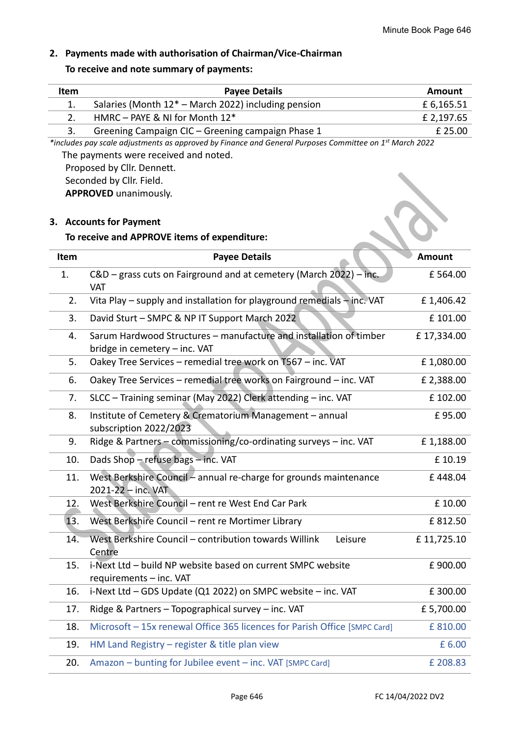# **2. Payments made with authorisation of Chairman/Vice-Chairman**

# **To receive and note summary of payments:**

| Item                                                                                                                                                         | <b>Payee Details</b>                                                                                | <b>Amount</b> |  |  |
|--------------------------------------------------------------------------------------------------------------------------------------------------------------|-----------------------------------------------------------------------------------------------------|---------------|--|--|
| 1.                                                                                                                                                           | Salaries (Month $12^*$ – March 2022) including pension                                              | £ 6,165.51    |  |  |
| 2.                                                                                                                                                           | HMRC - PAYE & NI for Month 12*                                                                      | £ 2,197.65    |  |  |
| 3.                                                                                                                                                           | Greening Campaign CIC - Greening campaign Phase 1                                                   | £ 25.00       |  |  |
| *includes pay scale adjustments as approved by Finance and General Purposes Committee on 1 <sup>st</sup> March 2022<br>The payments were received and noted. |                                                                                                     |               |  |  |
|                                                                                                                                                              | Proposed by Cllr. Dennett.                                                                          |               |  |  |
|                                                                                                                                                              | Seconded by Cllr. Field.                                                                            |               |  |  |
|                                                                                                                                                              | <b>APPROVED</b> unanimously.                                                                        |               |  |  |
|                                                                                                                                                              | 3. Accounts for Payment                                                                             |               |  |  |
|                                                                                                                                                              | To receive and APPROVE items of expenditure:                                                        |               |  |  |
| Item                                                                                                                                                         | <b>Payee Details</b>                                                                                | <b>Amount</b> |  |  |
| 1.                                                                                                                                                           | C&D - grass cuts on Fairground and at cemetery (March 2022) - inc.<br><b>VAT</b>                    | £564.00       |  |  |
| 2.                                                                                                                                                           | Vita Play - supply and installation for playground remedials - inc. VAT                             | £1,406.42     |  |  |
| 3.                                                                                                                                                           | David Sturt - SMPC & NP IT Support March 2022                                                       | £101.00       |  |  |
| 4.                                                                                                                                                           | Sarum Hardwood Structures - manufacture and installation of timber<br>bridge in cemetery - inc. VAT | £17,334.00    |  |  |
| 5.                                                                                                                                                           | Oakey Tree Services - remedial tree work on T567 - inc. VAT                                         | £1,080.00     |  |  |
| 6.                                                                                                                                                           | Oakey Tree Services - remedial tree works on Fairground - inc. VAT                                  | £ 2,388.00    |  |  |
| 7.                                                                                                                                                           | SLCC - Training seminar (May 2022) Clerk attending - inc. VAT                                       | £102.00       |  |  |
| 8.                                                                                                                                                           | Institute of Cemetery & Crematorium Management - annual<br>subscription 2022/2023                   | £95.00        |  |  |
| 9.                                                                                                                                                           | Ridge & Partners - commissioning/co-ordinating surveys - inc. VAT                                   | £1,188.00     |  |  |
| 10.                                                                                                                                                          | Dads Shop - refuse bags - inc. VAT                                                                  | £ 10.19       |  |  |
| 11.                                                                                                                                                          | West Berkshire Council - annual re-charge for grounds maintenance<br>2021-22 - inc. VAT             | £448.04       |  |  |
| 12.                                                                                                                                                          | West Berkshire Council - rent re West End Car Park                                                  | £ 10.00       |  |  |
| 13.                                                                                                                                                          | West Berkshire Council - rent re Mortimer Library                                                   | £812.50       |  |  |
| 14.                                                                                                                                                          | West Berkshire Council - contribution towards Willink<br>Leisure<br>Centre                          | £11,725.10    |  |  |
| 15.                                                                                                                                                          | i-Next Ltd - build NP website based on current SMPC website<br>requirements - inc. VAT              | £900.00       |  |  |
| 16.                                                                                                                                                          | i-Next Ltd - GDS Update (Q1 2022) on SMPC website - inc. VAT                                        | £300.00       |  |  |
| 17.                                                                                                                                                          | Ridge & Partners - Topographical survey - inc. VAT                                                  | £5,700.00     |  |  |
| 18.                                                                                                                                                          | Microsoft - 15x renewal Office 365 licences for Parish Office [SMPC Card]                           | £810.00       |  |  |
| 19.                                                                                                                                                          | HM Land Registry $-$ register & title plan view                                                     | £ 6.00        |  |  |
| 20.                                                                                                                                                          | Amazon - bunting for Jubilee event - inc. VAT [SMPC Card]                                           | £ 208.83      |  |  |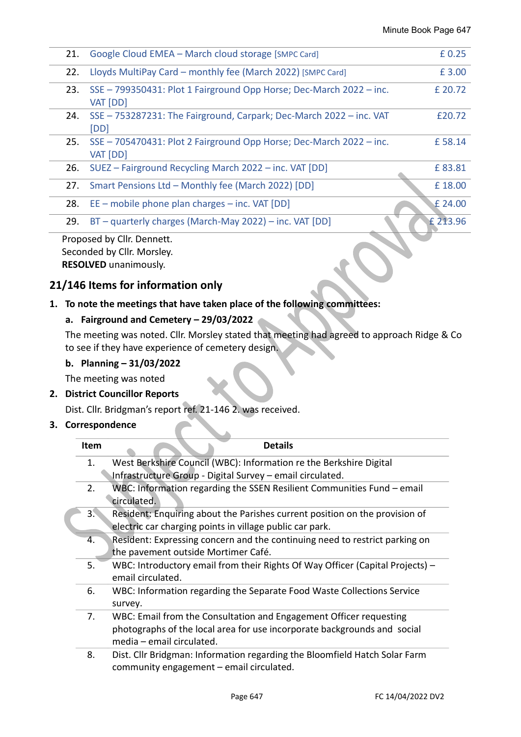| 21.                        | Google Cloud EMEA - March cloud storage [SMPC Card]                             | £0.25    |  |
|----------------------------|---------------------------------------------------------------------------------|----------|--|
| 22.                        | Lloyds MultiPay Card – monthly fee (March 2022) [SMPC Card]                     | £ 3.00   |  |
| 23.                        | SSE - 799350431: Plot 1 Fairground Opp Horse; Dec-March 2022 - inc.<br>VAT [DD] | £ 20.72  |  |
| 24.                        | SSE - 753287231: The Fairground, Carpark; Dec-March 2022 - inc. VAT<br>[DD]     | £20.72   |  |
| 25.                        | SSE - 705470431: Plot 2 Fairground Opp Horse; Dec-March 2022 - inc.<br>VAT [DD] | £58.14   |  |
| 26.                        | SUEZ - Fairground Recycling March 2022 - inc. VAT [DD]                          | £83.81   |  |
| 27.                        | Smart Pensions Ltd - Monthly fee (March 2022) [DD]                              | £18.00   |  |
| 28.                        | $EE$ – mobile phone plan charges – inc. VAT [DD]                                | £ 24.00  |  |
| 29.                        | BT - quarterly charges (March-May 2022) - inc. VAT [DD]                         | £ 213.96 |  |
| Proposed by Cllr. Dennett. |                                                                                 |          |  |

Seconded by Cllr. Morsley. **RESOLVED** unanimously.

# **21/146 Items for information only**

# **1. To note the meetings that have taken place of the following committees:**

#### **a. Fairground and Cemetery – 29/03/2022**

The meeting was noted. Cllr. Morsley stated that meeting had agreed to approach Ridge & Co to see if they have experience of cemetery design.

#### **b. Planning – 31/03/2022**

The meeting was noted

#### **2. District Councillor Reports**

Dist. Cllr. Bridgman's report ref. 21-146 2. was received.

#### **3. Correspondence**

| <b>Item</b> | <b>Details</b>                                                                  |
|-------------|---------------------------------------------------------------------------------|
| 1.          | West Berkshire Council (WBC): Information re the Berkshire Digital              |
|             | Infrastructure Group - Digital Survey - email circulated.                       |
| 2.          | WBC: Information regarding the SSEN Resilient Communities Fund – email          |
|             | circulated.                                                                     |
| 3.          | Resident: Enquiring about the Parishes current position on the provision of     |
|             | electric car charging points in village public car park.                        |
| 4.          | Resident: Expressing concern and the continuing need to restrict parking on     |
|             | the pavement outside Mortimer Café.                                             |
| 5.          | WBC: Introductory email from their Rights Of Way Officer (Capital Projects) $-$ |
|             | email circulated.                                                               |
| 6.          | WBC: Information regarding the Separate Food Waste Collections Service          |
|             | survey.                                                                         |
| 7.          | WBC: Email from the Consultation and Engagement Officer requesting              |
|             | photographs of the local area for use incorporate backgrounds and social        |
|             | media – email circulated.                                                       |
| 8.          | Dist. Cllr Bridgman: Information regarding the Bloomfield Hatch Solar Farm      |
|             | community engagement - email circulated.                                        |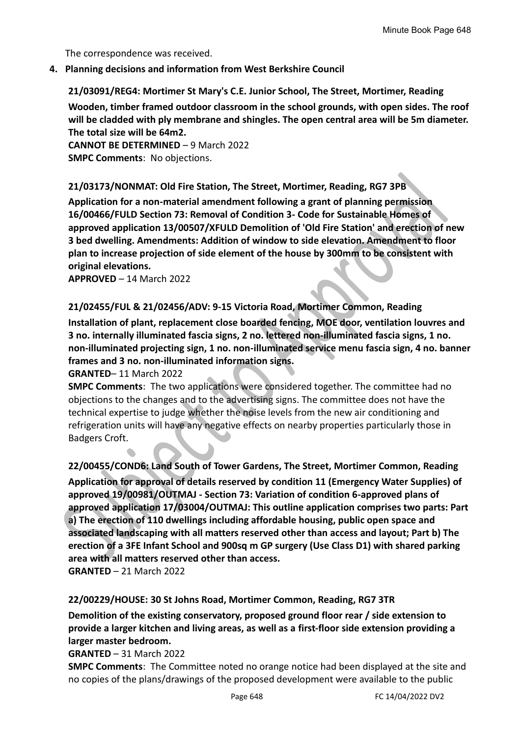The correspondence was received.

#### **4. Planning decisions and information from West Berkshire Council**

**21/03091/REG4: Mortimer St Mary's C.E. Junior School, The Street, Mortimer, Reading** 

**Wooden, timber framed outdoor classroom in the school grounds, with open sides. The roof will be cladded with ply membrane and shingles. The open central area will be 5m diameter. The total size will be 64m2.**

**CANNOT BE DETERMINED** – 9 March 2022 **SMPC Comments**: No objections.

#### **21/03173/NONMAT: Old Fire Station, The Street, Mortimer, Reading, RG7 3PB**

**Application for a non-material amendment following a grant of planning permission 16/00466/FULD Section 73: Removal of Condition 3- Code for Sustainable Homes of approved application 13/00507/XFULD Demolition of 'Old Fire Station' and erection of new 3 bed dwelling. Amendments: Addition of window to side elevation. Amendment to floor plan to increase projection of side element of the house by 300mm to be consistent with original elevations.**

**APPROVED** – 14 March 2022

#### **21/02455/FUL & 21/02456/ADV: 9-15 Victoria Road, Mortimer Common, Reading**

**Installation of plant, replacement close boarded fencing, MOE door, ventilation louvres and 3 no. internally illuminated fascia signs, 2 no. lettered non-illuminated fascia signs, 1 no. non-illuminated projecting sign, 1 no. non-illuminated service menu fascia sign, 4 no. banner frames and 3 no. non-illuminated information signs.**

#### **GRANTED**– 11 March 2022

**SMPC Comments**: The two applications were considered together. The committee had no objections to the changes and to the advertising signs. The committee does not have the technical expertise to judge whether the noise levels from the new air conditioning and refrigeration units will have any negative effects on nearby properties particularly those in Badgers Croft.

**22/00455/COND6: Land South of Tower Gardens, The Street, Mortimer Common, Reading Application for approval of details reserved by condition 11 (Emergency Water Supplies) of approved 19/00981/OUTMAJ - Section 73: Variation of condition 6-approved plans of approved application 17/03004/OUTMAJ: This outline application comprises two parts: Part a) The erection of 110 dwellings including affordable housing, public open space and associated landscaping with all matters reserved other than access and layout; Part b) The erection of a 3FE Infant School and 900sq m GP surgery (Use Class D1) with shared parking area with all matters reserved other than access.**

**GRANTED** – 21 March 2022

#### **22/00229/HOUSE: 30 St Johns Road, Mortimer Common, Reading, RG7 3TR**

**Demolition of the existing conservatory, proposed ground floor rear / side extension to provide a larger kitchen and living areas, as well as a first-floor side extension providing a larger master bedroom.**

**GRANTED** – 31 March 2022

**SMPC Comments**: The Committee noted no orange notice had been displayed at the site and no copies of the plans/drawings of the proposed development were available to the public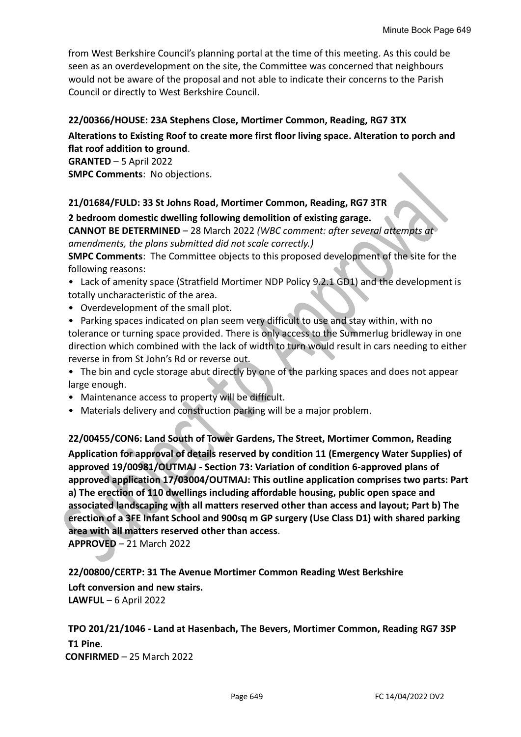from West Berkshire Council's planning portal at the time of this meeting. As this could be seen as an overdevelopment on the site, the Committee was concerned that neighbours would not be aware of the proposal and not able to indicate their concerns to the Parish Council or directly to West Berkshire Council.

#### **22/00366/HOUSE: 23A Stephens Close, Mortimer Common, Reading, RG7 3TX**

## **Alterations to Existing Roof to create more first floor living space. Alteration to porch and flat roof addition to ground**.

**GRANTED** – 5 April 2022 **SMPC Comments**: No objections.

#### **21/01684/FULD: 33 St Johns Road, Mortimer Common, Reading, RG7 3TR**

**2 bedroom domestic dwelling following demolition of existing garage.**

**CANNOT BE DETERMINED** – 28 March 2022 *(WBC comment: after several attempts at amendments, the plans submitted did not scale correctly.)*

**SMPC Comments**: The Committee objects to this proposed development of the site for the following reasons:

- Lack of amenity space (Stratfield Mortimer NDP Policy 9.2.1 GD1) and the development is totally uncharacteristic of the area.
- Overdevelopment of the small plot.
- Parking spaces indicated on plan seem very difficult to use and stay within, with no tolerance or turning space provided. There is only access to the Summerlug bridleway in one direction which combined with the lack of width to turn would result in cars needing to either reverse in from St John's Rd or reverse out.
- The bin and cycle storage abut directly by one of the parking spaces and does not appear large enough.
- Maintenance access to property will be difficult.
- Materials delivery and construction parking will be a major problem.

**22/00455/CON6: Land South of Tower Gardens, The Street, Mortimer Common, Reading Application for approval of details reserved by condition 11 (Emergency Water Supplies) of approved 19/00981/OUTMAJ - Section 73: Variation of condition 6-approved plans of approved application 17/03004/OUTMAJ: This outline application comprises two parts: Part a) The erection of 110 dwellings including affordable housing, public open space and associated landscaping with all matters reserved other than access and layout; Part b) The erection of a 3FE Infant School and 900sq m GP surgery (Use Class D1) with shared parking area with all matters reserved other than access**.

**APPROVED** – 21 March 2022

**22/00800/CERTP: 31 The Avenue Mortimer Common Reading West Berkshire Loft conversion and new stairs. LAWFUL** – 6 April 2022

**TPO 201/21/1046 - Land at Hasenbach, The Bevers, Mortimer Common, Reading RG7 3SP T1 Pine**. **CONFIRMED** – 25 March 2022